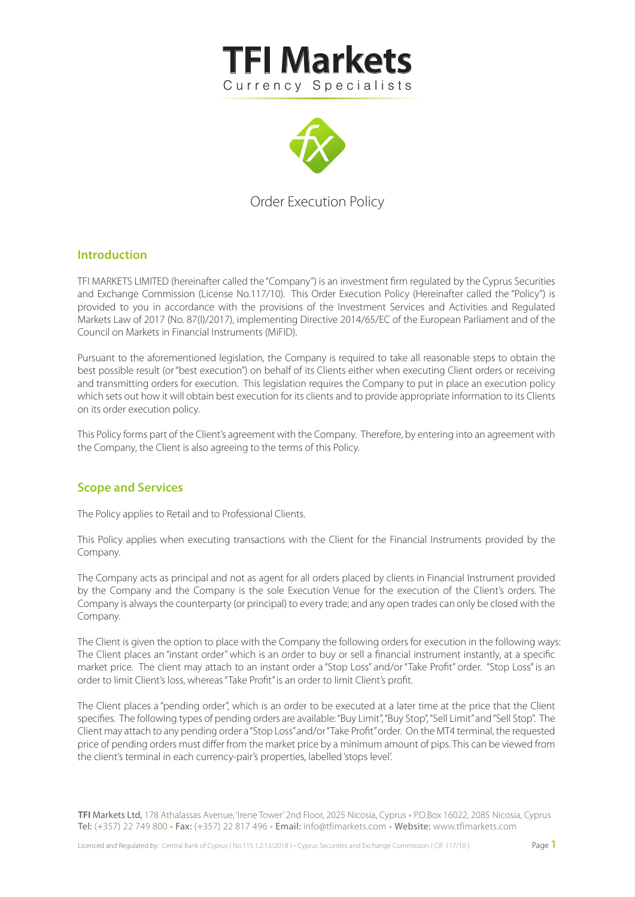



# Order Execution Policy

# **Introduction**

TFI MARKETS LIMITED (hereinafter called the "Company") is an investment firm regulated by the Cyprus Securities and Exchange Commission (License No.117/10). This Order Execution Policy (Hereinafter called the "Policy") is provided to you in accordance with the provisions of the Investment Services and Activities and Regulated Markets Law of 2017 (No. 87(I)/2017), implementing Directive 2014/65/EC of the European Parliament and of the Council on Markets in Financial Instruments (MiFID).

Pursuant to the aforementioned legislation, the Company is required to take all reasonable steps to obtain the best possible result (or "best execution") on behalf of its Clients either when executing Client orders or receiving and transmitting orders for execution. This legislation requires the Company to put in place an execution policy which sets out how it will obtain best execution for its clients and to provide appropriate information to its Clients on its order execution policy.

This Policy forms part of the Client's agreement with the Company. Therefore, by entering into an agreement with the Company, the Client is also agreeing to the terms of this Policy.

## **Scope and Services**

The Policy applies to Retail and to Professional Clients.

This Policy applies when executing transactions with the Client for the Financial Instruments provided by the Company.

The Company acts as principal and not as agent for all orders placed by clients in Financial Instrument provided by the Company and the Company is the sole Execution Venue for the execution of the Client's orders. The Company is always the counterparty (or principal) to every trade; and any open trades can only be closed with the Company.

The Client is given the option to place with the Company the following orders for execution in the following ways: The Client places an "instant order" which is an order to buy or sell a financial instrument instantly, at a specific market price. The client may attach to an instant order a "Stop Loss" and/or "Take Profit" order. "Stop Loss" is an order to limit Client's loss, whereas "Take Profit" is an order to limit Client's profit.

The Client places a "pending order", which is an order to be executed at a later time at the price that the Client specifies. The following types of pending orders are available: "Buy Limit", "Buy Stop", "Sell Limit" and "Sell Stop". The Client may attach to any pending order a "Stop Loss" and/or "Take Prot" order. On the MT4 terminal, the requested price of pending orders must differ from the market price by a minimum amount of pips. This can be viewed from the client's terminal in each currency-pair's properties, labelled 'stops level'.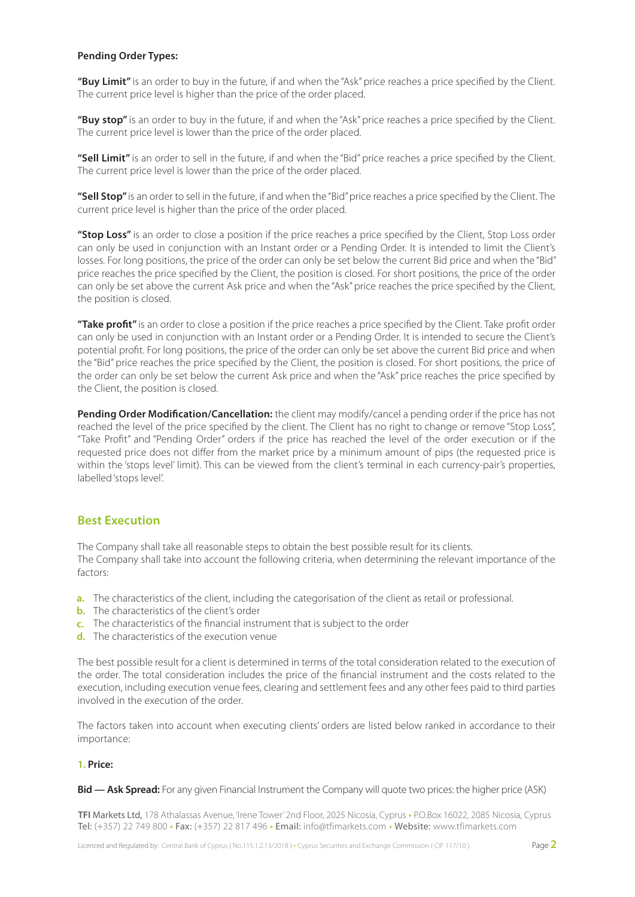## **Pending Order Types:**

"Buy Limit" is an order to buy in the future, if and when the "Ask" price reaches a price specified by the Client. The current price level is higher than the price of the order placed.

"Buy stop" is an order to buy in the future, if and when the "Ask" price reaches a price specified by the Client. The current price level is lower than the price of the order placed.

"Sell Limit" is an order to sell in the future, if and when the "Bid" price reaches a price specified by the Client. The current price level is lower than the price of the order placed.

"Sell Stop" is an order to sell in the future, if and when the "Bid" price reaches a price specified by the Client. The current price level is higher than the price of the order placed.

"Stop Loss" is an order to close a position if the price reaches a price specified by the Client, Stop Loss order can only be used in conjunction with an Instant order or a Pending Order. It is intended to limit the Client's losses. For long positions, the price of the order can only be set below the current Bid price and when the "Bid" price reaches the price specified by the Client, the position is closed. For short positions, the price of the order can only be set above the current Ask price and when the "Ask" price reaches the price specified by the Client, the position is closed.

"Take profit" is an order to close a position if the price reaches a price specified by the Client. Take profit order can only be used in conjunction with an Instant order or a Pending Order. It is intended to secure the Client's potential profit. For long positions, the price of the order can only be set above the current Bid price and when the "Bid" price reaches the price specified by the Client, the position is closed. For short positions, the price of the order can only be set below the current Ask price and when the "Ask" price reaches the price specified by the Client, the position is closed.

Pending Order Modification/Cancellation: the client may modify/cancel a pending order if the price has not reached the level of the price specified by the client. The Client has no right to change or remove "Stop Loss", "Take Prot" and "Pending Order" orders if the price has reached the level of the order execution or if the requested price does not differ from the market price by a minimum amount of pips (the requested price is within the 'stops level' limit). This can be viewed from the client's terminal in each currency-pair's properties, labelled 'stops level'.

# **Best Execution**

The Company shall take all reasonable steps to obtain the best possible result for its clients. The Company shall take into account the following criteria, when determining the relevant importance of the factors:

- a. The characteristics of the client, including the categorisation of the client as retail or professional.
- **b.** The characteristics of the client's order
- c. The characteristics of the financial instrument that is subject to the order
- The characteristics of the execution venue **d.**

The best possible result for a client is determined in terms of the total consideration related to the execution of the order. The total consideration includes the price of the financial instrument and the costs related to the execution, including execution venue fees, clearing and settlement fees and any other fees paid to third parties involved in the execution of the order.

The factors taken into account when executing clients' orders are listed below ranked in accordance to their importance:

## **1. Price:**

#### **Bid — Ask Spread:** For any given Financial Instrument the Company will quote two prices: the higher price (ASK)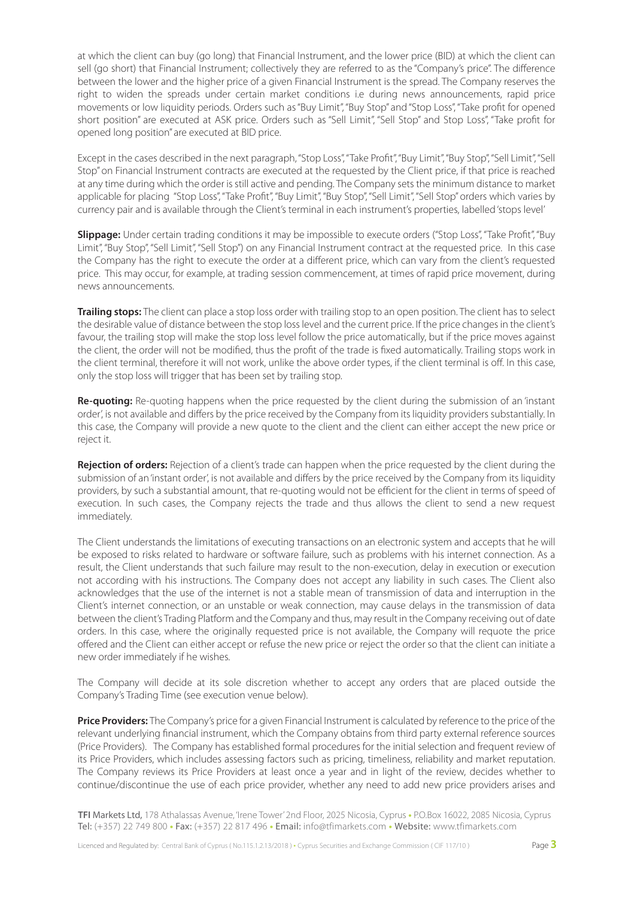at which the client can buy (go long) that Financial Instrument, and the lower price (BID) at which the client can sell (go short) that Financial Instrument; collectively they are referred to as the "Company's price". The difference between the lower and the higher price of a given Financial Instrument is the spread. The Company reserves the right to widen the spreads under certain market conditions i.e during news announcements, rapid price movements or low liquidity periods. Orders such as "Buy Limit", "Buy Stop" and "Stop Loss", "Take profit for opened short position" are executed at ASK price. Orders such as "Sell Limit", "Sell Stop" and Stop Loss", "Take profit for opened long position" are executed at BID price.

Except in the cases described in the next paragraph, "Stop Loss", "Take Profit", "Buy Limit", "Buy Stop", "Sell Limit", "Sell Stop" on Financial Instrument contracts are executed at the requested by the Client price, if that price is reached at any time during which the order is still active and pending. The Company sets the minimum distance to market applicable for placing "Stop Loss", "Take Profit", "Buy Limit", "Buy Stop", "Sell Limit", "Sell Stop" orders which varies by currency pair and is available through the Client's terminal in each instrument's properties, labelled 'stops level'

**Slippage:** Under certain trading conditions it may be impossible to execute orders ("Stop Loss", "Take Profit", "Buy Limit", "Buy Stop", "Sell Limit", "Sell Stop") on any Financial Instrument contract at the requested price. In this case the Company has the right to execute the order at a different price, which can vary from the client's requested price. This may occur, for example, at trading session commencement, at times of rapid price movement, during news announcements.

**Trailing stops:** The client can place a stop loss order with trailing stop to an open position. The client has to select the desirable value of distance between the stop loss level and the current price. If the price changes in the client's favour, the trailing stop will make the stop loss level follow the price automatically, but if the price moves against the client, the order will not be modified, thus the profit of the trade is fixed automatically. Trailing stops work in the client terminal, therefore it will not work, unlike the above order types, if the client terminal is off. In this case, only the stop loss will trigger that has been set by trailing stop.

**Re-quoting:** Re-quoting happens when the price requested by the client during the submission of an 'instant order', is not available and differs by the price received by the Company from its liquidity providers substantially. In this case, the Company will provide a new quote to the client and the client can either accept the new price or reject it.

**Rejection of orders:** Rejection of a client's trade can happen when the price requested by the client during the submission of an 'instant order', is not available and differs by the price received by the Company from its liquidity providers, by such a substantial amount, that re-quoting would not be efficient for the client in terms of speed of execution. In such cases, the Company rejects the trade and thus allows the client to send a new request immediately.

The Client understands the limitations of executing transactions on an electronic system and accepts that he will be exposed to risks related to hardware or software failure, such as problems with his internet connection. As a result, the Client understands that such failure may result to the non-execution, delay in execution or execution not according with his instructions. The Company does not accept any liability in such cases. The Client also acknowledges that the use of the internet is not a stable mean of transmission of data and interruption in the Client's internet connection, or an unstable or weak connection, may cause delays in the transmission of data between the client's Trading Platform and the Company and thus, may result in the Company receiving out of date orders. In this case, where the originally requested price is not available, the Company will requote the price offered and the Client can either accept or refuse the new price or reject the order so that the client can initiate a new order immediately if he wishes.

The Company will decide at its sole discretion whether to accept any orders that are placed outside the Company's Trading Time (see execution venue below).

**Price Providers:** The Company's price for a given Financial Instrument is calculated by reference to the price of the relevant underlying financial instrument, which the Company obtains from third party external reference sources (Price Providers). The Company has established formal procedures for the initial selection and frequent review of its Price Providers, which includes assessing factors such as pricing, timeliness, reliability and market reputation. The Company reviews its Price Providers at least once a year and in light of the review, decides whether to continue/discontinue the use of each price provider, whether any need to add new price providers arises and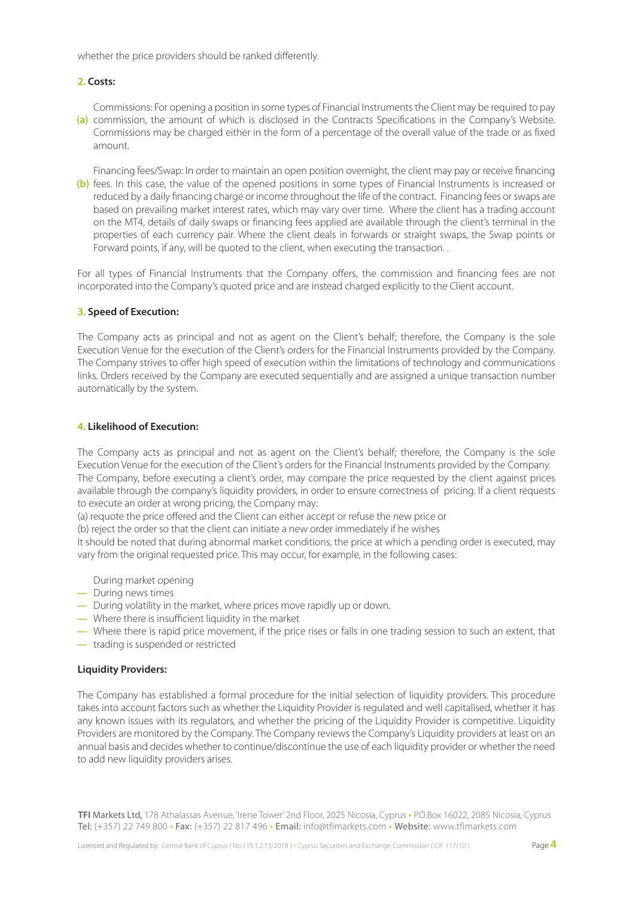whether the price providers should be ranked differently.

#### **2. Costs:**

Commissions: For opening a position in some types of Financial Instruments the Client may be required to pay (a) commission, the amount of which is disclosed in the Contracts Specifications in the Company's Website. Commissions may be charged either in the form of a percentage of the overall value of the trade or as fixed amount.

Financing fees/Swap: In order to maintain an open position overnight, the client may pay or receive financing (b) fees. In this case, the value of the opened positions in some types of Financial Instruments is increased or reduced by a daily financing charge or income throughout the life of the contract. Financing fees or swaps are based on prevailing market interest rates, which may vary over time. Where the client has a trading account on the MT4, details of daily swaps or financing fees applied are available through the client's terminal in the properties of each currency pair. Where the client deals in forwards or straight swaps, the Swap points or Forward points, if any, will be quoted to the client, when executing the transaction. .

For all types of Financial Instruments that the Company offers, the commission and financing fees are not incorporated into the Company's quoted price and are instead charged explicitly to the Client account.

#### **3. Speed of Execution:**

The Company acts as principal and not as agent on the Client's behalf; therefore, the Company is the sole Execution Venue for the execution of the Client's orders for the Financial Instruments provided by the Company. The Company strives to offer high speed of execution within the limitations of technology and communications links. Orders received by the Company are executed sequentially and are assigned a unique transaction number automatically by the system.

## **4. Likelihood of Execution:**

The Company acts as principal and not as agent on the Client's behalf; therefore, the Company is the sole Execution Venue for the execution of the Client's orders for the Financial Instruments provided by the Company. The Company, before executing a client's order, may compare the price requested by the client against prices available through the company's liquidity providers, in order to ensure correctness of pricing. If a client requests to execute an order at wrong pricing, the Company may:

(a) requote the price offered and the Client can either accept or refuse the new price or

(b) reject the order so that the client can initiate a new order immediately if he wishes

It should be noted that during abnormal market conditions, the price at which a pending order is executed, may vary from the original requested price. This may occur, for example, in the following cases:

During market opening

- During news times **—**
- During volatility in the market, where prices move rapidly up or down. **—**
- $-$  Where there is insufficient liquidity in the market
- Where there is rapid price movement, if the price rises or falls in one trading session to such an extent, that **—**
- trading is suspended or restricted **—**

## **Liquidity Providers:**

The Company has established a formal procedure for the initial selection of liquidity providers. This procedure takes into account factors such as whether the Liquidity Provider is regulated and well capitalised, whether it has any known issues with its regulators, and whether the pricing of the Liquidity Provider is competitive. Liquidity Providers are monitored by the Company. The Company reviews the Company's Liquidity providers at least on an annual basis and decides whether to continue/discontinue the use of each liquidity provider or whether the need to add new liquidity providers arises.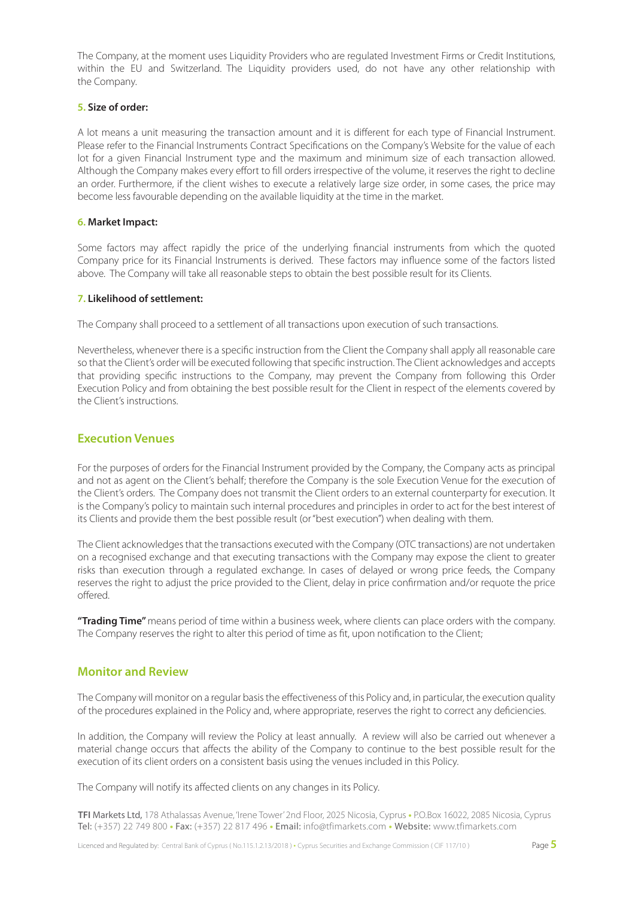The Company, at the moment uses Liquidity Providers who are regulated Investment Firms or Credit Institutions, within the EU and Switzerland. The Liquidity providers used, do not have any other relationship with the Company.

#### **5. Size of order:**

A lot means a unit measuring the transaction amount and it is different for each type of Financial Instrument. Please refer to the Financial Instruments Contract Specifications on the Company's Website for the value of each lot for a given Financial Instrument type and the maximum and minimum size of each transaction allowed. Although the Company makes every effort to fill orders irrespective of the volume, it reserves the right to decline an order. Furthermore, if the client wishes to execute a relatively large size order, in some cases, the price may become less favourable depending on the available liquidity at the time in the market.

#### **6. Market Impact:**

Some factors may affect rapidly the price of the underlying financial instruments from which the quoted Company price for its Financial Instruments is derived. These factors may influence some of the factors listed above. The Company will take all reasonable steps to obtain the best possible result for its Clients.

## **7. Likelihood of settlement:**

The Company shall proceed to a settlement of all transactions upon execution of such transactions.

Nevertheless, whenever there is a specific instruction from the Client the Company shall apply all reasonable care so that the Client's order will be executed following that specific instruction. The Client acknowledges and accepts that providing specific instructions to the Company, may prevent the Company from following this Order Execution Policy and from obtaining the best possible result for the Client in respect of the elements covered by the Client's instructions.

# **Execution Venues**

For the purposes of orders for the Financial Instrument provided by the Company, the Company acts as principal and not as agent on the Client's behalf; therefore the Company is the sole Execution Venue for the execution of the Client's orders. The Company does not transmit the Client orders to an external counterparty for execution. It is the Company's policy to maintain such internal procedures and principles in order to act for the best interest of its Clients and provide them the best possible result (or "best execution") when dealing with them.

The Client acknowledges that the transactions executed with the Company (OTC transactions) are not undertaken on a recognised exchange and that executing transactions with the Company may expose the client to greater risks than execution through a regulated exchange. In cases of delayed or wrong price feeds, the Company reserves the right to adjust the price provided to the Client, delay in price confirmation and/or requote the price offered.

**"Trading Time"** means period of time within a business week, where clients can place orders with the company. The Company reserves the right to alter this period of time as fit, upon notification to the Client;

## **Monitor and Review**

The Company will monitor on a regular basis the effectiveness of this Policy and, in particular, the execution quality of the procedures explained in the Policy and, where appropriate, reserves the right to correct any deficiencies.

In addition, the Company will review the Policy at least annually. A review will also be carried out whenever a material change occurs that affects the ability of the Company to continue to the best possible result for the execution of its client orders on a consistent basis using the venues included in this Policy.

The Company will notify its affected clients on any changes in its Policy.